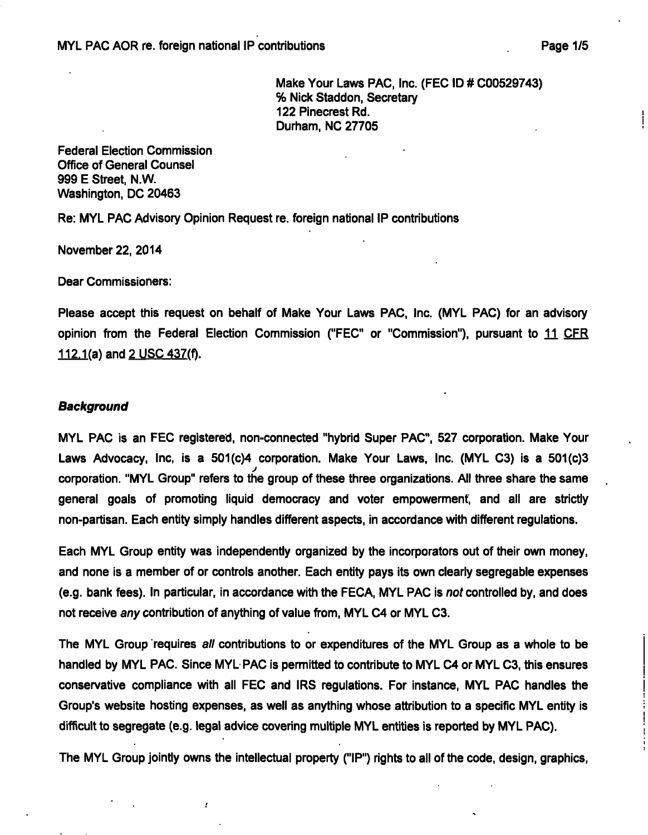Make Your Laws PAC. Inc. (FEC ID # C00529743) % Nick Staddon, Secretary 122 Pinecrest Rd. Durham, NO 27705

Federal Election Commission Office of General Counsel 999 E Street. N.W. Washington. DC 20463

Re: MYL PAC Advisory Opinion Request re. foreign national IP contributions

November 22. 2014

Dear Commissioners:

Please accept this request on behalf of Make Your Laws PAC. Inc. (MYL PAC) for an advisory opinion from the Federal Election Commission ("FEC" or "Commission"), pursuant to 11 CFR  $112.1(a)$  and  $2$  USC 437(f).

#### **Background**

MYL PAC is an FEC registered, non-connected "hybrid Super PAC". 527 corporation. Make Your Laws Advocacy, Inc. is a 501(c)4 corporation. Make Your Laws, Inc. (MYL C3) is a 501(c)3 corporation. "MYL Group" refers to the group of these three organizations. All three share the same general goals of promoting liquid democracy and voter empowerment, and all are strictly non-partisan. Each entity simply handles different aspects, in accordance with different regulations.

Each MYL Group entity was independently organized by the incorporators out of their own money, and none is a member of or controls another. Each entity pays its own clearly segregable expenses (e.g. bank fees). In particular, in accordance with the FECA, MYL PAC is not controlled by, and does not receive any contribution of anything of value from. MYL C4 or MYL C3.

The MYL Group requires all contributions to or expenditures of the MYL Group as a whole to be handled by MYL PAC. Since MYL PAC is permitted to contribute to MYL C4 or MYL C3. this ensures conservative compliance with all FEC and IRS regulations. For instance. MYL PAC handles the Group's website hosting expenses, as well as anything whose attribution to a specific MYL entity is difficult to segregate (e.g. legal advice covering multiple MYL entities is reported by MYL PAC).

The MYL Group jointly owns the intellectual property ("IP") rights to all of the code, design, graphics.

ł.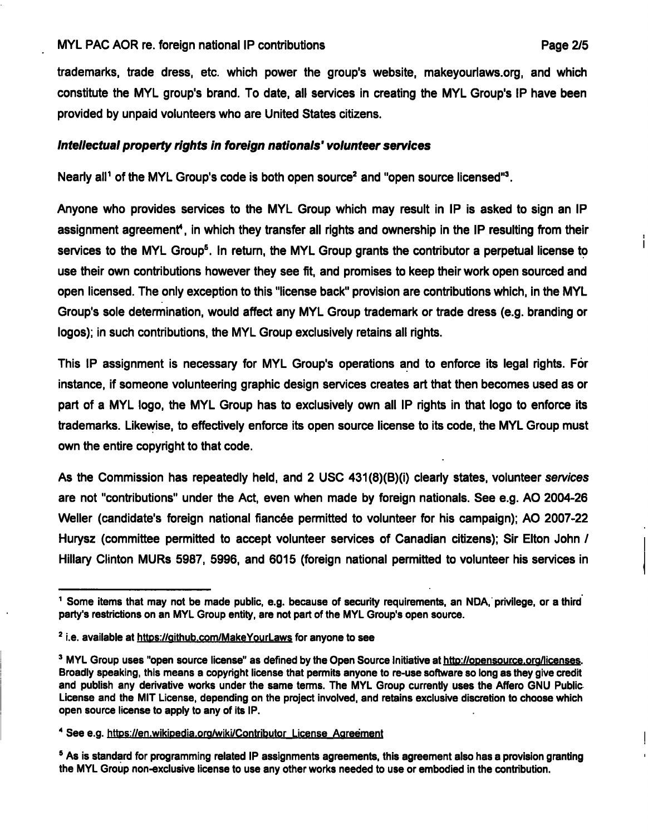### MYL PAC AOR re. foreign national IP contributions example and the example of Page 2/5

trademarks, trade dress, etc. which power the group's website, makeyourlaws.org, and which constitute the MYL group's brand. To date, all services in creating the MYL Group's IP have been provided by unpaid volunteers who are United States citizens.

# **Intellectual property rights in foreign nationals' volunteer services**

Nearly all<sup>1</sup> of the MYL Group's code is both open source<sup>2</sup> and "open source licensed"<sup>3</sup>.

Anyone who provides services to the MYL Group which may result in IP is asked to sign an IP assignment agreement<sup>4</sup>, in which they transfer all rights and ownership in the IP resulting from their services to the MYL Group<sup>5</sup>. In return, the MYL Group grants the contributor a perpetual license to use their own contributions however they see fit, and promises to keep their work open sourced and open licensed. The only exception to this "license back" provision are contributions which, in the MYL Group's sole determination, would affect any MYL Group trademark or trade dress (e.g. branding or logos); in such contributions, the MYL Group exclusively retains all rights.

This IP assignment is necessary for MYL Group's operations and to enforce its legal rights. For instance, if someone volunteering graphic design services creates art that then becomes used as or part of a MYL logo, the MYL Group has to exclusively own all IP rights in that logo to enforce its trademarks. Likewise, to effectively enforce its open source license to its code, the MYL Group must own the entire copyright to that code.

As the Commission has repeatedly held, and 2 USC 431(8)(B)(i) clearly states, volunteer services are not "contributions" under the Act, even when made by foreign nationals. See e.g. AO 2004-26 Weller (candidate's foreign national fiancée permitted to volunteer for his campaign); AO 2007-22 Hurysz (committee permitted to accept volunteer services of Canadian citizens); Sir Elton John / Hillary Clinton MURs 5987, 5996, and 6015 (foreign national permitted to volunteer his services in

**<sup>^</sup> Some items that may not be made public, e.g. because of security requirements, an NDA, privilege, or a third party's restrictions on an MYL Group entity, are not part of the MYL Group's open source.** 

<sup>&</sup>lt;sup>2</sup> i.e. available at https://github.com/MakeYourLaws for anyone to see

<sup>&</sup>lt;sup>3</sup> MYL Group uses "open source license" as defined by the Open Source Initiative at http://opensource.org/licenses. **Broadly speaking, this means a copyright license that permits anyone to re-use software so long as they give credit and publish any derivative works under the same terms. The MYL Group currently uses the Affero GNU Public License and the MIT License, depending on the project involved, and retains exclusive discretion to choose which open source license to apply to any of its IP.** 

<sup>&</sup>lt;sup>4</sup> See e.g. https://en.wikipedia.org/wiki/Contributor License Agreement

**<sup>&#</sup>x27; As is standard for programming related IP assignments agreements, this agreement also has a provision granting the MYL Group non-exclusive license to use any other works needed to use or embodied in the contribution.**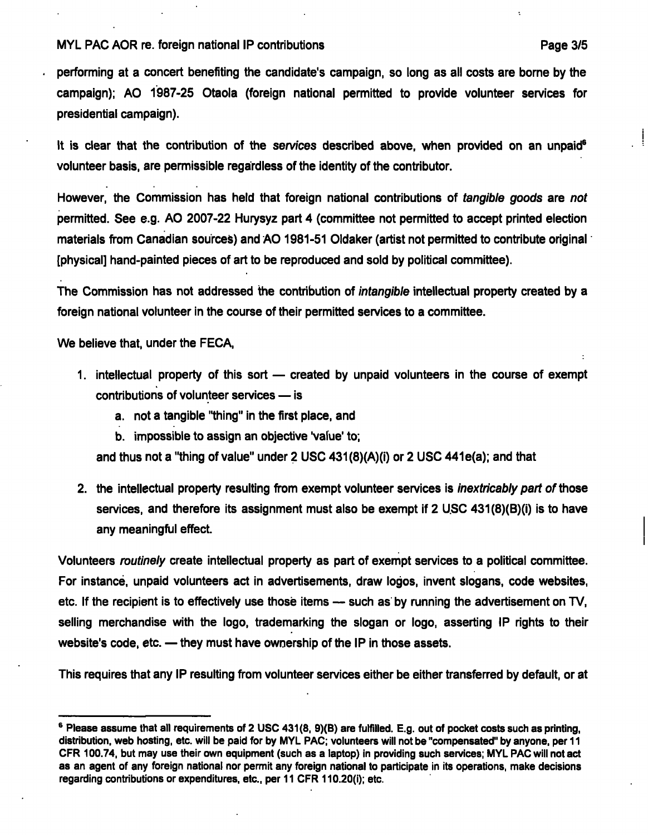#### **MYL PAC AOR re. foreign national IP contributions The Contribution Case 3/5 Page 3/5**

**performing at a concert benefiting the candidate's campaign, so long as all costs are borne by the campaign); AO 1987-25 Otaola (foreign national permitted to provide volunteer services for presidential campaign).** 

**It is clear that the contribution of the services described above, when provided on an unpaid^ volunteer basis, are permissible regardless of the identity of the contributor.** 

**However, the Commission has held that foreign national contributions of tangible goods are not permitted. See e.g. AO 2007-22 Hurysyz part 4 (committee not permitted to accept printed election materials from Canadian sources) and AO 1981-51 Oldaker (artist not permitted to contribute original [physical] hand-painted pieces of art to be reproduced and sold by political committee).** 

**The Commission has not addressed the contribution of intangible intellectual property created by a foreign national volunteer in the course of their permitted services to a committee.** 

**We believe that, under the FECA,** 

- **1. intellectual property of this sort created by unpaid volunteers in the course of exempt contributions of volunteer services — is** 
	- **a. not a tangible "thing" in the first place, and**
	- **b. impossible to assign an objective 'value' to;**

and thus not a "thing of value" under 2 USC 431(8)(A)(i) or 2 USC 441e(a); and that

**2. the intellectual property resulting from exempt volunteer services is inextricably part o7 those services, and therefore its assignment must also be exempt if 2 USC 431(8)(B)(i) is to have any meaningful effect.** 

**Volunteers routinely create intellectual property as part of exempt services to a political committee. For instance, unpaid volunteers act in advertisements, draw logos, invent slogans, code websites,**  etc. If the recipient is to effectively use those items — such as by running the advertisement on TV, **selling merchandise with the logo, trademarking the slogan or logo, asserting IP rights to their website's code, etc. — they must have ownership of the IP in those assets.** 

**This requires that any IP resulting from volunteer services either be either transferred by default, or at** 

**<sup>^</sup> Please assume that all requirements of 2 USC 431(8, 9)(B) are fulfilled. E.g. out of pocket costs such as printing, distribution, web hosting, etc. will be paid for by MYL PAC; volunteers will not be "compensated" by anyone, per 11 CFR 100.74, but may use their own equipment (such as a laptop) in providing such services; MYL PAC will not act as an agent of any foreign national nor permit any foreign national to participate in its operations, make decisions regarding contributions or expenditures, etc., per 11 CFR 110.20(i); etc.**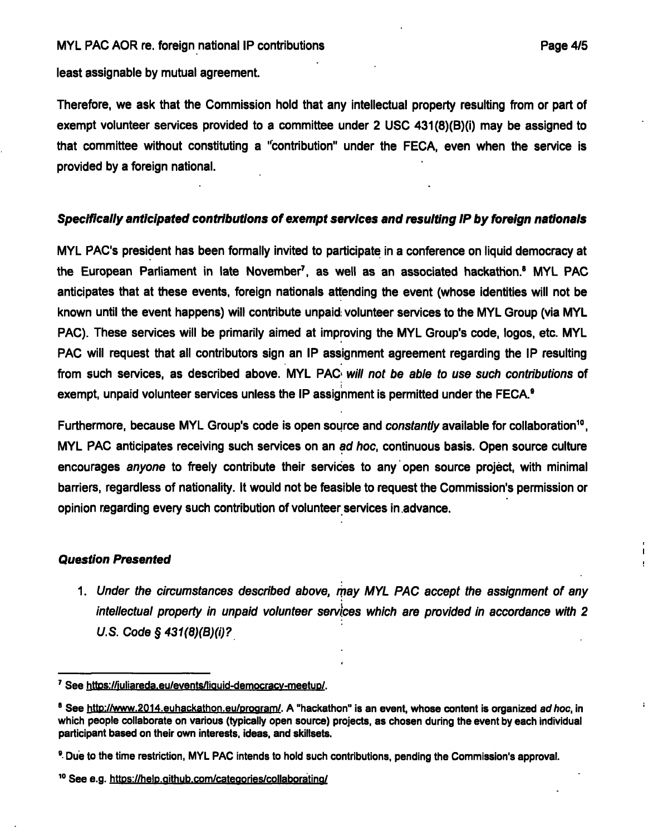**least assignable by mutual agreement.** 

**Therefore, we ask that the Commission hold that any intellectual property resulting from or part of exempt volunteer services provided to a committee under 2 USC 431(8)(B)(i) may be assigned to that committee without constituting a "contribution" under the FECA, even when the service is provided by a foreign national.** 

# **Specifically anticipated contributions of exempt services and resulting IP by foreign nationals**

**MYL PAC's president has been formally invited to participate in a conference on liquid democracy at the European Parliament in late November^, as well as an associated hackathon." MYL PAC anticipates that at these events, foreign nationals attending the event (whose identities will not be known until the event happens) will contribute unpaid, volunteer services to the MYL Group (via MYL PAC). These services will be primarily aimed at improving the MYL Group's code, logos, etc. MYL PAC will request that all contributors sign an IP assignment agreement regarding the IP resulting from such services, as described above. MYL PAC< will not be able to use such contributions of exempt, unpaid volunteer services unless the IP assignment is permitted under the FECA."** 

Furthermore, because MYL Group's code is open source and *constantly* available for collaboration<sup>10</sup>. **MYL PAC anticipates receiving such services on an ad hoc, continuous basis. Open source culture encourages anyone to freely contribute their services to any open source project, with minimal barriers, regardless of nationality. It would not be feasible to request the Commission's permission or opinion regarding every such contribution of volunteer services in advance.** 

## **Question Presented**

1. Under the circumstances described above, may MYL PAC accept the assignment of any intellectual property in unpaid volunteer services which are provided in accordance with 2 U.S. Code  $\S$  431(8)(B)(i)?

<sup>&</sup>lt;sup>7</sup> See https://juliareda.eu/events/liquid-democracy-meetup/.

<sup>&</sup>lt;sup>8</sup> See http://www.2014.euhackathon.eu/program/. A "hackathon" is an event, whose content is organized ad hoc, in **which people coiiaborate on various (typically open source) projects, as chosen during the event by each individual participant based on their own interests, ideas, and skillsets.** 

**<sup>&</sup>quot; Due to the time restriction, MYL PAC intends to hold such contributions, pending the Commission's approval.** 

<sup>&</sup>lt;sup>10</sup> See e.g. https://help.qithub.com/categories/collaborating/